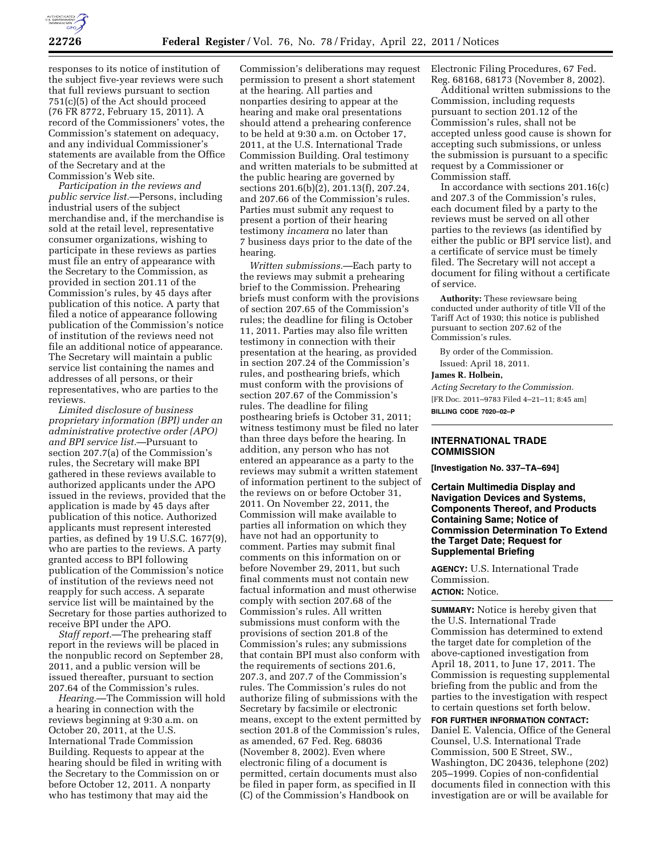

responses to its notice of institution of the subject five-year reviews were such that full reviews pursuant to section 751(c)(5) of the Act should proceed (76 FR 8772, February 15, 2011). A record of the Commissioners' votes, the Commission's statement on adequacy, and any individual Commissioner's statements are available from the Office of the Secretary and at the Commission's Web site.

*Participation in the reviews and public service list.*—Persons, including industrial users of the subject merchandise and, if the merchandise is sold at the retail level, representative consumer organizations, wishing to participate in these reviews as parties must file an entry of appearance with the Secretary to the Commission, as provided in section 201.11 of the Commission's rules, by 45 days after publication of this notice. A party that filed a notice of appearance following publication of the Commission's notice of institution of the reviews need not file an additional notice of appearance. The Secretary will maintain a public service list containing the names and addresses of all persons, or their representatives, who are parties to the reviews.

*Limited disclosure of business proprietary information (BPI) under an administrative protective order (APO) and BPI service list.*—Pursuant to section 207.7(a) of the Commission's rules, the Secretary will make BPI gathered in these reviews available to authorized applicants under the APO issued in the reviews, provided that the application is made by 45 days after publication of this notice. Authorized applicants must represent interested parties, as defined by 19 U.S.C. 1677(9), who are parties to the reviews. A party granted access to BPI following publication of the Commission's notice of institution of the reviews need not reapply for such access. A separate service list will be maintained by the Secretary for those parties authorized to receive BPI under the APO.

*Staff report.*—The prehearing staff report in the reviews will be placed in the nonpublic record on September 28, 2011, and a public version will be issued thereafter, pursuant to section 207.64 of the Commission's rules.

*Hearing.*—The Commission will hold a hearing in connection with the reviews beginning at 9:30 a.m. on October 20, 2011, at the U.S. International Trade Commission Building. Requests to appear at the hearing should be filed in writing with the Secretary to the Commission on or before October 12, 2011. A nonparty who has testimony that may aid the

Commission's deliberations may request permission to present a short statement at the hearing. All parties and nonparties desiring to appear at the hearing and make oral presentations should attend a prehearing conference to be held at 9:30 a.m. on October 17, 2011, at the U.S. International Trade Commission Building. Oral testimony and written materials to be submitted at the public hearing are governed by sections 201.6(b)(2), 201.13(f), 207.24, and 207.66 of the Commission's rules. Parties must submit any request to present a portion of their hearing testimony *incamera* no later than 7 business days prior to the date of the hearing.

*Written submissions.*—Each party to the reviews may submit a prehearing brief to the Commission. Prehearing briefs must conform with the provisions of section 207.65 of the Commission's rules; the deadline for filing is October 11, 2011. Parties may also file written testimony in connection with their presentation at the hearing, as provided in section 207.24 of the Commission's rules, and posthearing briefs, which must conform with the provisions of section 207.67 of the Commission's rules. The deadline for filing posthearing briefs is October 31, 2011; witness testimony must be filed no later than three days before the hearing. In addition, any person who has not entered an appearance as a party to the reviews may submit a written statement of information pertinent to the subject of the reviews on or before October 31, 2011. On November 22, 2011, the Commission will make available to parties all information on which they have not had an opportunity to comment. Parties may submit final comments on this information on or before November 29, 2011, but such final comments must not contain new factual information and must otherwise comply with section 207.68 of the Commission's rules. All written submissions must conform with the provisions of section 201.8 of the Commission's rules; any submissions that contain BPI must also conform with the requirements of sections 201.6, 207.3, and 207.7 of the Commission's rules. The Commission's rules do not authorize filing of submissions with the Secretary by facsimile or electronic means, except to the extent permitted by section 201.8 of the Commission's rules, as amended, 67 Fed. Reg. 68036 (November 8, 2002). Even where electronic filing of a document is permitted, certain documents must also be filed in paper form, as specified in II (C) of the Commission's Handbook on

Electronic Filing Procedures, 67 Fed. Reg. 68168, 68173 (November 8, 2002).

Additional written submissions to the Commission, including requests pursuant to section 201.12 of the Commission's rules, shall not be accepted unless good cause is shown for accepting such submissions, or unless the submission is pursuant to a specific request by a Commissioner or Commission staff.

In accordance with sections 201.16(c) and 207.3 of the Commission's rules, each document filed by a party to the reviews must be served on all other parties to the reviews (as identified by either the public or BPI service list), and a certificate of service must be timely filed. The Secretary will not accept a document for filing without a certificate of service.

**Authority:** These reviewsare being conducted under authority of title VII of the Tariff Act of 1930; this notice is published pursuant to section 207.62 of the Commission's rules.

By order of the Commission. Issued: April 18, 2011.

#### **James R. Holbein,**

*Acting Secretary to the Commission.*  [FR Doc. 2011–9783 Filed 4–21–11; 8:45 am] **BILLING CODE 7020–02–P** 

#### **INTERNATIONAL TRADE COMMISSION**

**[Investigation No. 337–TA–694]** 

**Certain Multimedia Display and Navigation Devices and Systems, Components Thereof, and Products Containing Same; Notice of Commission Determination To Extend the Target Date; Request for Supplemental Briefing** 

**AGENCY:** U.S. International Trade Commission.

# **ACTION:** Notice.

**SUMMARY:** Notice is hereby given that the U.S. International Trade Commission has determined to extend the target date for completion of the above-captioned investigation from April 18, 2011, to June 17, 2011. The Commission is requesting supplemental briefing from the public and from the parties to the investigation with respect to certain questions set forth below.

**FOR FURTHER INFORMATION CONTACT:**  Daniel E. Valencia, Office of the General Counsel, U.S. International Trade Commission, 500 E Street, SW., Washington, DC 20436, telephone (202) 205–1999. Copies of non-confidential documents filed in connection with this investigation are or will be available for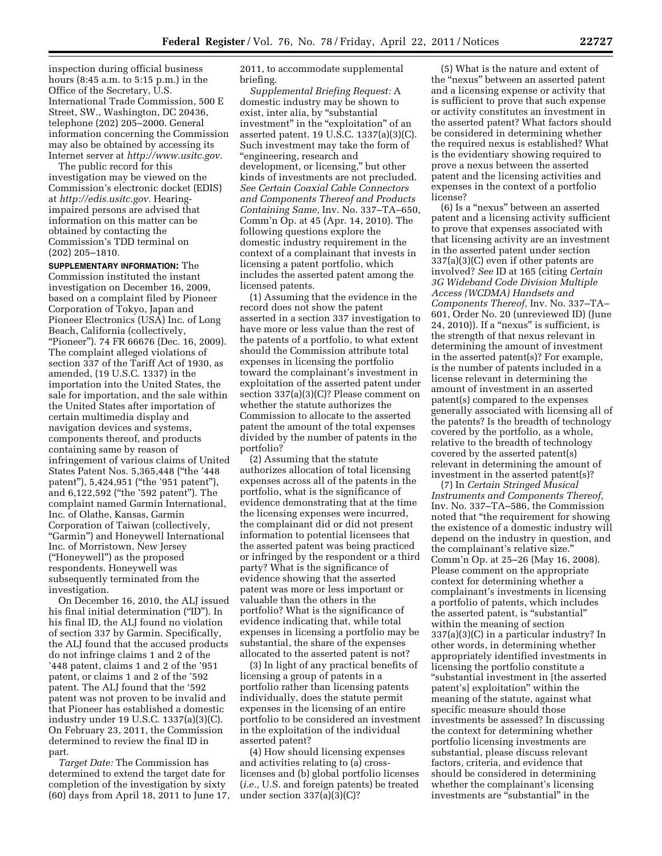inspection during official business hours (8:45 a.m. to 5:15 p.m.) in the Office of the Secretary, U.S. International Trade Commission, 500 E Street, SW., Washington, DC 20436, telephone (202) 205–2000. General information concerning the Commission may also be obtained by accessing its Internet server at *[http://www.usitc.gov.](http://www.usitc.gov)* 

The public record for this investigation may be viewed on the Commission's electronic docket (EDIS) at *[http://edis.usitc.gov.](http://edis.usitc.gov)* Hearingimpaired persons are advised that information on this matter can be obtained by contacting the Commission's TDD terminal on (202) 205–1810.

**SUPPLEMENTARY INFORMATION:** The Commission instituted the instant investigation on December 16, 2009, based on a complaint filed by Pioneer Corporation of Tokyo, Japan and Pioneer Electronics (USA) Inc. of Long Beach, California (collectively, ''Pioneer''). 74 FR 66676 (Dec. 16, 2009). The complaint alleged violations of section 337 of the Tariff Act of 1930, as amended, (19 U.S.C. 1337) in the importation into the United States, the sale for importation, and the sale within the United States after importation of certain multimedia display and navigation devices and systems, components thereof, and products containing same by reason of infringement of various claims of United States Patent Nos. 5,365,448 (''the '448 patent''), 5,424,951 (''the '951 patent''), and 6,122,592 (''the '592 patent''). The complaint named Garmin International, Inc. of Olathe, Kansas, Garmin Corporation of Taiwan (collectively, ''Garmin'') and Honeywell International Inc. of Morristown, New Jersey (''Honeywell'') as the proposed respondents. Honeywell was subsequently terminated from the investigation.

On December 16, 2010, the ALJ issued his final initial determination (''ID''). In his final ID, the ALJ found no violation of section 337 by Garmin. Specifically, the ALJ found that the accused products do not infringe claims 1 and 2 of the '448 patent, claims 1 and 2 of the '951 patent, or claims 1 and 2 of the '592 patent. The ALJ found that the '592 patent was not proven to be invalid and that Pioneer has established a domestic industry under 19 U.S.C. 1337(a)(3)(C). On February 23, 2011, the Commission determined to review the final ID in part.

*Target Date:* The Commission has determined to extend the target date for completion of the investigation by sixty (60) days from April 18, 2011 to June 17, 2011, to accommodate supplemental briefing.

*Supplemental Briefing Request:* A domestic industry may be shown to exist, inter alia, by "substantial investment" in the "exploitation" of an asserted patent. 19 U.S.C. 1337(a)(3)(C). Such investment may take the form of ''engineering, research and development, or licensing,'' but other kinds of investments are not precluded. *See Certain Coaxial Cable Connectors and Components Thereof and Products Containing Same,* Inv. No. 337–TA–650, Comm'n Op. at 45 (Apr. 14, 2010). The following questions explore the domestic industry requirement in the context of a complainant that invests in licensing a patent portfolio, which includes the asserted patent among the licensed patents.

(1) Assuming that the evidence in the record does not show the patent asserted in a section 337 investigation to have more or less value than the rest of the patents of a portfolio, to what extent should the Commission attribute total expenses in licensing the portfolio toward the complainant's investment in exploitation of the asserted patent under section 337(a)(3)(C)? Please comment on whether the statute authorizes the Commission to allocate to the asserted patent the amount of the total expenses divided by the number of patents in the portfolio?

(2) Assuming that the statute authorizes allocation of total licensing expenses across all of the patents in the portfolio, what is the significance of evidence demonstrating that at the time the licensing expenses were incurred, the complainant did or did not present information to potential licensees that the asserted patent was being practiced or infringed by the respondent or a third party? What is the significance of evidence showing that the asserted patent was more or less important or valuable than the others in the portfolio? What is the significance of evidence indicating that, while total expenses in licensing a portfolio may be substantial, the share of the expenses allocated to the asserted patent is not?

(3) In light of any practical benefits of licensing a group of patents in a portfolio rather than licensing patents individually, does the statute permit expenses in the licensing of an entire portfolio to be considered an investment in the exploitation of the individual asserted patent?

(4) How should licensing expenses and activities relating to (a) crosslicenses and (b) global portfolio licenses (*i.e.,* U.S. and foreign patents) be treated under section 337(a)(3)(C)?

(5) What is the nature and extent of the ''nexus'' between an asserted patent and a licensing expense or activity that is sufficient to prove that such expense or activity constitutes an investment in the asserted patent? What factors should be considered in determining whether the required nexus is established? What is the evidentiary showing required to prove a nexus between the asserted patent and the licensing activities and expenses in the context of a portfolio license?

(6) Is a ''nexus'' between an asserted patent and a licensing activity sufficient to prove that expenses associated with that licensing activity are an investment in the asserted patent under section 337(a)(3)(C) even if other patents are involved? *See* ID at 165 (citing *Certain 3G Wideband Code Division Multiple Access (WCDMA) Handsets and Components Thereof,* Inv. No. 337–TA– 601, Order No. 20 (unreviewed ID) (June 24, 2010)). If a ''nexus'' is sufficient, is the strength of that nexus relevant in determining the amount of investment in the asserted patent(s)? For example, is the number of patents included in a license relevant in determining the amount of investment in an asserted patent(s) compared to the expenses generally associated with licensing all of the patents? Is the breadth of technology covered by the portfolio, as a whole, relative to the breadth of technology covered by the asserted patent(s) relevant in determining the amount of investment in the asserted patent(s)?

(7) In *Certain Stringed Musical Instruments and Components Thereof,*  Inv. No. 337–TA–586, the Commission noted that ''the requirement for showing the existence of a domestic industry will depend on the industry in question, and the complainant's relative size.'' Comm'n Op. at 25–26 (May 16, 2008). Please comment on the appropriate context for determining whether a complainant's investments in licensing a portfolio of patents, which includes the asserted patent, is ''substantial'' within the meaning of section 337(a)(3)(C) in a particular industry? In other words, in determining whether appropriately identified investments in licensing the portfolio constitute a ''substantial investment in [the asserted patent's] exploitation'' within the meaning of the statute, against what specific measure should those investments be assessed? In discussing the context for determining whether portfolio licensing investments are substantial, please discuss relevant factors, criteria, and evidence that should be considered in determining whether the complainant's licensing investments are ''substantial'' in the